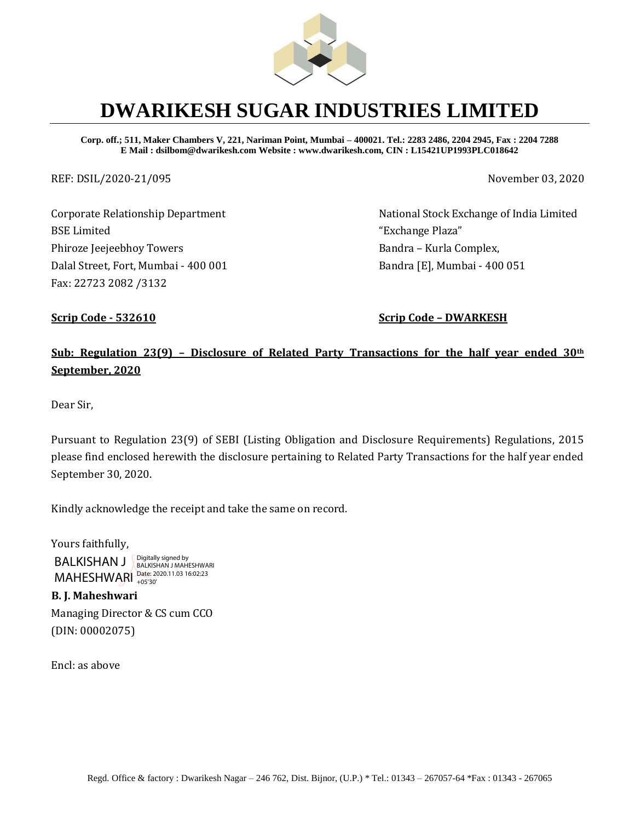

# **DWARIKESH SUGAR INDUSTRIES LIMITED**

**Corp. off.; 511, Maker Chambers V, 221, Nariman Point, Mumbai – 400021. Tel.: 2283 2486, 2204 2945, Fax : 2204 7288 E Mail : dsilbom@dwarikesh.com Website : www.dwarikesh.com, CIN : L15421UP1993PLC018642**

REF: DSIL/2020-21/095 November 03, 2020

Corporate Relationship Department BSE Limited Phiroze Jeejeebhoy Towers Dalal Street, Fort, Mumbai - 400 001 Fax: 22723 2082 /3132

National Stock Exchange of India Limited "Exchange Plaza" Bandra – Kurla Complex, Bandra [E], Mumbai - 400 051

**Scrip Code - 532610 Scrip Code – DWARKESH**

## **Sub: Regulation 23(9) – Disclosure of Related Party Transactions for the half year ended 30th September, 2020**

Dear Sir,

Pursuant to Regulation 23(9) of SEBI (Listing Obligation and Disclosure Requirements) Regulations, 2015 please find enclosed herewith the disclosure pertaining to Related Party Transactions for the half year ended September 30, 2020.

Kindly acknowledge the receipt and take the same on record.

Yours faithfully,

BALKISHAN J MAHESHWARI - Pate: 2020.11.03 16:02:23 Digitally signed by BALKISHAN J MAHESHWARI

## **B. J. Maheshwari**

Managing Director & CS cum CCO (DIN: 00002075)

Encl: as above